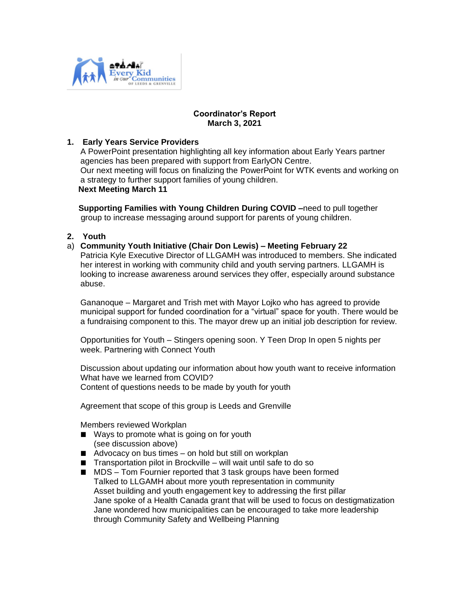

# **Coordinator's Report March 3, 2021**

# **1. Early Years Service Providers**

A PowerPoint presentation highlighting all key information about Early Years partner agencies has been prepared with support from EarlyON Centre. Our next meeting will focus on finalizing the PowerPoint for WTK events and working on a strategy to further support families of young children. **Next Meeting March 11**

 **Supporting Families with Young Children During COVID –**need to pull together group to increase messaging around support for parents of young children.

**2. Youth**

#### a) **Community Youth Initiative (Chair Don Lewis) – Meeting February 22**

Patricia Kyle Executive Director of LLGAMH was introduced to members. She indicated her interest in working with community child and youth serving partners. LLGAMH is looking to increase awareness around services they offer, especially around substance abuse.

Gananoque – Margaret and Trish met with Mayor Lojko who has agreed to provide municipal support for funded coordination for a "virtual" space for youth. There would be a fundraising component to this. The mayor drew up an initial job description for review.

Opportunities for Youth – Stingers opening soon. Y Teen Drop In open 5 nights per week. Partnering with Connect Youth

Discussion about updating our information about how youth want to receive information What have we learned from COVID? Content of questions needs to be made by youth for youth

Agreement that scope of this group is Leeds and Grenville

Members reviewed Workplan

- Ways to promote what is going on for youth (see discussion above)
- $\blacksquare$  Advocacy on bus times on hold but still on workplan
- $\blacksquare$  Transportation pilot in Brockville will wait until safe to do so
- MDS Tom Fournier reported that 3 task groups have been formed Talked to LLGAMH about more youth representation in community Asset building and youth engagement key to addressing the first pillar Jane spoke of a Health Canada grant that will be used to focus on destigmatization Jane wondered how municipalities can be encouraged to take more leadership through Community Safety and Wellbeing Planning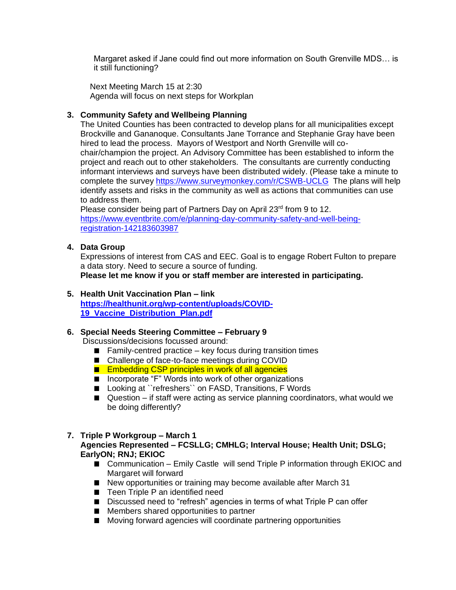Margaret asked if Jane could find out more information on South Grenville MDS… is it still functioning?

 Next Meeting March 15 at 2:30 Agenda will focus on next steps for Workplan

# **3. Community Safety and Wellbeing Planning**

The United Counties has been contracted to develop plans for all municipalities except Brockville and Gananoque. Consultants Jane Torrance and Stephanie Gray have been hired to lead the process. Mayors of Westport and North Grenville will cochair/champion the project. An Advisory Committee has been established to inform the project and reach out to other stakeholders. The consultants are currently conducting informant interviews and surveys have been distributed widely. (Please take a minute to complete the survey<https://www.surveymonkey.com/r/CSWB-UCLG>The plans will help identify assets and risks in the community as well as actions that communities can use to address them.

Please consider being part of Partners Day on April 23<sup>rd</sup> from 9 to 12. [https://www.eventbrite.com/e/planning-day-community-safety-and-well-being](https://www.eventbrite.com/e/planning-day-community-safety-and-well-being-registration-142183603987)[registration-142183603987](https://www.eventbrite.com/e/planning-day-community-safety-and-well-being-registration-142183603987)

# **4. Data Group**

Expressions of interest from CAS and EEC. Goal is to engage Robert Fulton to prepare a data story. Need to secure a source of funding. **Please let me know if you or staff member are interested in participating.**

# **5. Health Unit Vaccination Plan – link**

**[https://healthunit.org/wp-content/uploads/COVID-](https://healthunit.org/wp-content/uploads/COVID-19_Vaccine_Distribution_Plan.pdf)[19\\_Vaccine\\_Distribution\\_Plan.pdf](https://healthunit.org/wp-content/uploads/COVID-19_Vaccine_Distribution_Plan.pdf)**

# **6. Special Needs Steering Committee – February 9**

Discussions/decisions focussed around:

- $\blacksquare$  Family-centred practice key focus during transition times
- Challenge of face-to-face meetings during COVID
- **Embedding CSP principles in work of all agencies**
- Incorporate "F" Words into work of other organizations
- Looking at ``refreshers`` on FASD, Transitions, F Words
- Question if staff were acting as service planning coordinators, what would we be doing differently?

# **7. Triple P Workgroup – March 1**

# **Agencies Represented – FCSLLG; CMHLG; Interval House; Health Unit; DSLG; EarlyON; RNJ; EKIOC**

- Communication Emily Castle will send Triple P information through EKIOC and Margaret will forward
- New opportunities or training may become available after March 31
- Teen Triple P an identified need
- Discussed need to "refresh" agencies in terms of what Triple P can offer
- **Members shared opportunities to partner**
- Moving forward agencies will coordinate partnering opportunities